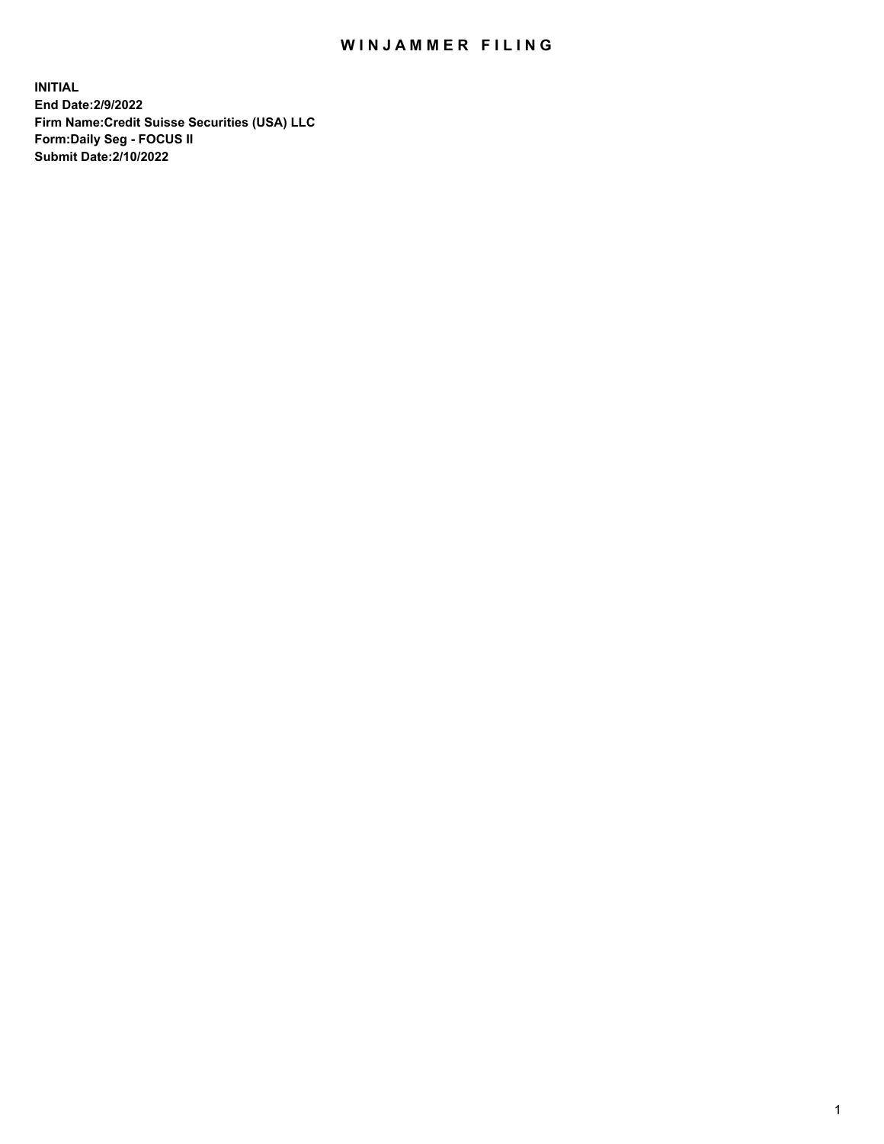# WIN JAMMER FILING

**INITIAL End Date:2/9/2022 Firm Name:Credit Suisse Securities (USA) LLC Form:Daily Seg - FOCUS II Submit Date:2/10/2022**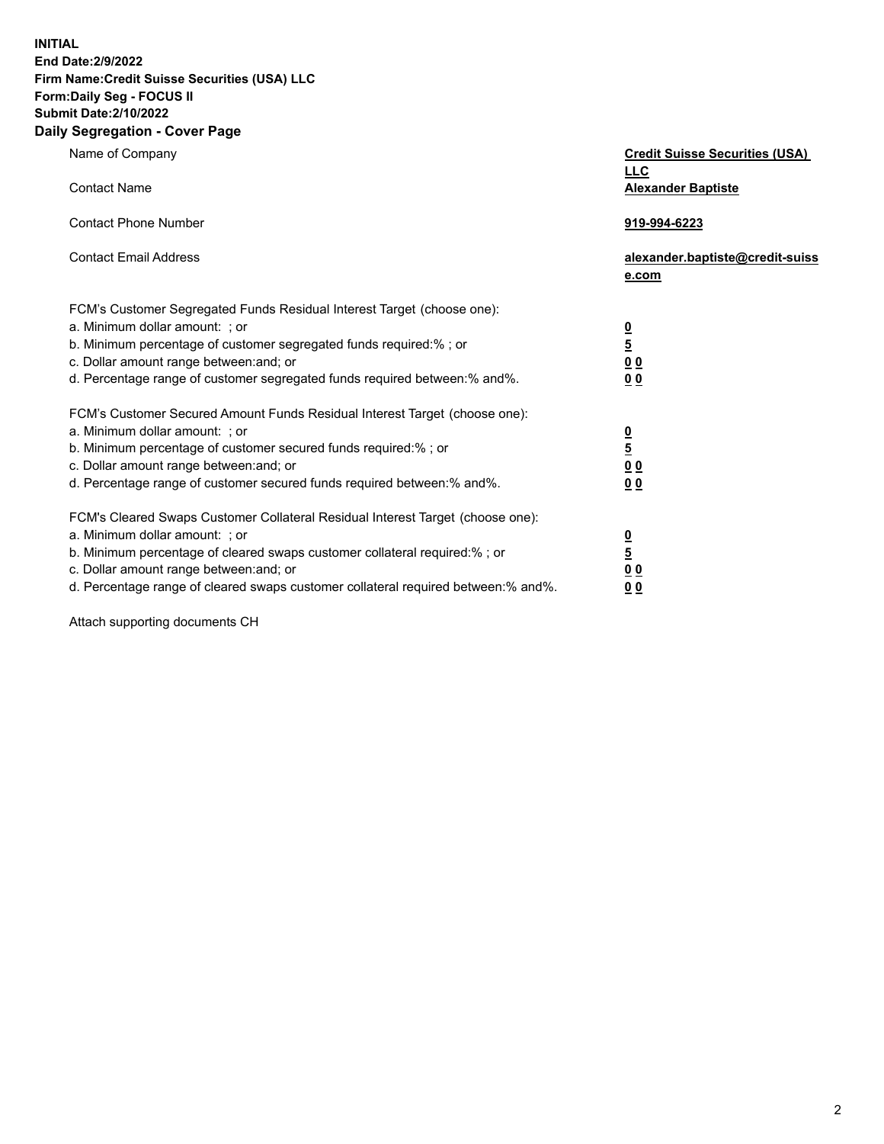**INITIAL End Date:2/9/2022** 

# **Firm Name:Credit Suisse Securities (USA) LLC Form:Daily Seg - FOCUS II Submit Date:2/10/2022**

#### **Daily Segregation - Cover Page**

| Name of Company                                                                   | <b>Credit Suisse Securities (USA)</b><br><b>LLC</b> |
|-----------------------------------------------------------------------------------|-----------------------------------------------------|
| <b>Contact Name</b>                                                               | <b>Alexander Baptiste</b>                           |
| <b>Contact Phone Number</b>                                                       | 919-994-6223                                        |
| <b>Contact Email Address</b>                                                      | alexander.baptiste@credit-suiss<br>e.com            |
| FCM's Customer Segregated Funds Residual Interest Target (choose one):            |                                                     |
| a. Minimum dollar amount: ; or                                                    |                                                     |
| b. Minimum percentage of customer segregated funds required:% ; or                | $\frac{0}{5}$                                       |
| c. Dollar amount range between: and; or                                           | 0 <sub>0</sub>                                      |
| d. Percentage range of customer segregated funds required between:% and%.         | 0 <sub>0</sub>                                      |
| FCM's Customer Secured Amount Funds Residual Interest Target (choose one):        |                                                     |
| a. Minimum dollar amount: ; or                                                    | $\frac{0}{5}$                                       |
| b. Minimum percentage of customer secured funds required:% ; or                   |                                                     |
| c. Dollar amount range between: and; or                                           | 0 <sub>0</sub>                                      |
| d. Percentage range of customer secured funds required between:% and%.            | 0 <sub>0</sub>                                      |
| FCM's Cleared Swaps Customer Collateral Residual Interest Target (choose one):    |                                                     |
| a. Minimum dollar amount: ; or                                                    | $\frac{0}{5}$                                       |
| b. Minimum percentage of cleared swaps customer collateral required:% ; or        |                                                     |
| c. Dollar amount range between: and; or                                           | 0 <sub>0</sub>                                      |
| d. Percentage range of cleared swaps customer collateral required between:% and%. | 0 <sub>0</sub>                                      |

Attach supporting documents CH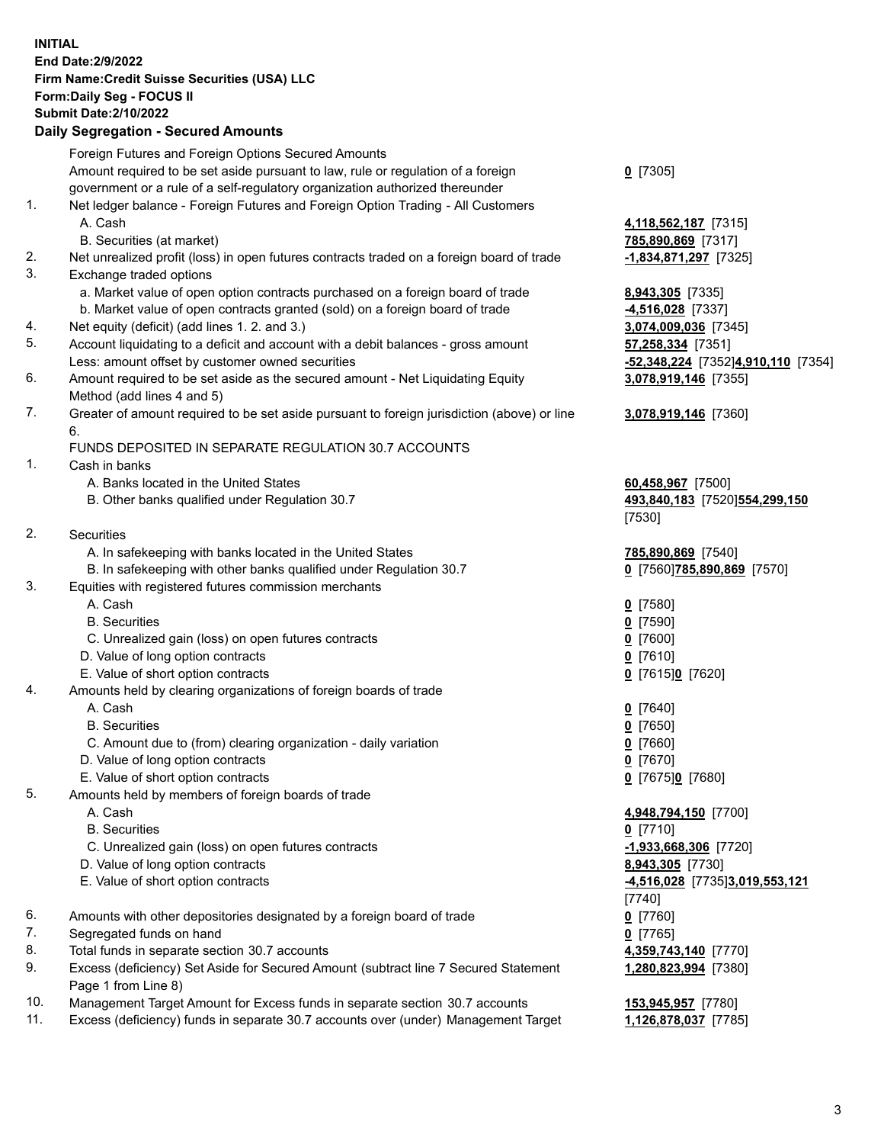## **INITIAL End Date:2/9/2022 Firm Name:Credit Suisse Securities (USA) LLC Form:Daily Seg - FOCUS II Submit Date:2/10/2022**

## **Daily Segregation - Secured Amounts**

|     | Foreign Futures and Foreign Options Secured Amounts                                               |                                    |
|-----|---------------------------------------------------------------------------------------------------|------------------------------------|
|     | Amount required to be set aside pursuant to law, rule or regulation of a foreign                  | $0$ [7305]                         |
|     | government or a rule of a self-regulatory organization authorized thereunder                      |                                    |
| 1.  | Net ledger balance - Foreign Futures and Foreign Option Trading - All Customers                   |                                    |
|     | A. Cash                                                                                           | 4,118,562,187 [7315]               |
|     | B. Securities (at market)                                                                         | 785,890,869 [7317]                 |
| 2.  | Net unrealized profit (loss) in open futures contracts traded on a foreign board of trade         | $-1,834,871,297$ [7325]            |
| 3.  | Exchange traded options                                                                           |                                    |
|     | a. Market value of open option contracts purchased on a foreign board of trade                    | 8,943,305 [7335]                   |
|     | b. Market value of open contracts granted (sold) on a foreign board of trade                      | 4,516,028 [7337]                   |
| 4.  | Net equity (deficit) (add lines 1. 2. and 3.)                                                     | 3,074,009,036 [7345]               |
| 5.  | Account liquidating to a deficit and account with a debit balances - gross amount                 | 57,258,334 [7351]                  |
|     | Less: amount offset by customer owned securities                                                  | -52,348,224 [7352]4,910,110 [7354] |
| 6.  | Amount required to be set aside as the secured amount - Net Liquidating Equity                    | 3,078,919,146 [7355]               |
|     | Method (add lines 4 and 5)                                                                        |                                    |
| 7.  | Greater of amount required to be set aside pursuant to foreign jurisdiction (above) or line<br>6. | 3,078,919,146 [7360]               |
|     | FUNDS DEPOSITED IN SEPARATE REGULATION 30.7 ACCOUNTS                                              |                                    |
| 1.  | Cash in banks                                                                                     |                                    |
|     | A. Banks located in the United States                                                             | 60,458,967 [7500]                  |
|     | B. Other banks qualified under Regulation 30.7                                                    | 493,840,183 [7520]554,299,150      |
|     |                                                                                                   | [7530]                             |
| 2.  | <b>Securities</b>                                                                                 |                                    |
|     | A. In safekeeping with banks located in the United States                                         | 785,890,869 [7540]                 |
|     | B. In safekeeping with other banks qualified under Regulation 30.7                                | 0 [7560] 785,890,869 [7570]        |
| 3.  | Equities with registered futures commission merchants                                             |                                    |
|     | A. Cash                                                                                           | $0$ [7580]                         |
|     | <b>B.</b> Securities                                                                              | $0$ [7590]                         |
|     | C. Unrealized gain (loss) on open futures contracts                                               | $0$ [7600]                         |
|     | D. Value of long option contracts                                                                 | $0$ [7610]                         |
|     | E. Value of short option contracts                                                                | 0 [7615]0 [7620]                   |
| 4.  | Amounts held by clearing organizations of foreign boards of trade                                 |                                    |
|     | A. Cash                                                                                           | $0$ [7640]                         |
|     | <b>B.</b> Securities                                                                              | $0$ [7650]                         |
|     | C. Amount due to (from) clearing organization - daily variation                                   | $0$ [7660]                         |
|     | D. Value of long option contracts                                                                 | $0$ [7670]                         |
|     | E. Value of short option contracts                                                                | 0 [7675]0 [7680]                   |
| 5.  | Amounts held by members of foreign boards of trade                                                |                                    |
|     | A. Cash                                                                                           | 4,948,794,150 [7700]               |
|     | <b>B.</b> Securities                                                                              | $0$ [7710]                         |
|     | C. Unrealized gain (loss) on open futures contracts                                               | $-1,933,668,306$ [7720]            |
|     | D. Value of long option contracts                                                                 | 8,943,305 [7730]                   |
|     | E. Value of short option contracts                                                                | 4,516,028 [7735]3,019,553,121      |
|     |                                                                                                   | [7740]                             |
| 6.  | Amounts with other depositories designated by a foreign board of trade                            | $0$ [7760]                         |
| 7.  | Segregated funds on hand                                                                          | $0$ [7765]                         |
| 8.  | Total funds in separate section 30.7 accounts                                                     | 4,359,743,140 [7770]               |
| 9.  | Excess (deficiency) Set Aside for Secured Amount (subtract line 7 Secured Statement               | 1,280,823,994 [7380]               |
|     | Page 1 from Line 8)                                                                               |                                    |
| 10. | Management Target Amount for Excess funds in separate section 30.7 accounts                       | 153,945,957 [7780]                 |
| 11. | Excess (deficiency) funds in separate 30.7 accounts over (under) Management Target                | 1,126,878,037 [7785]               |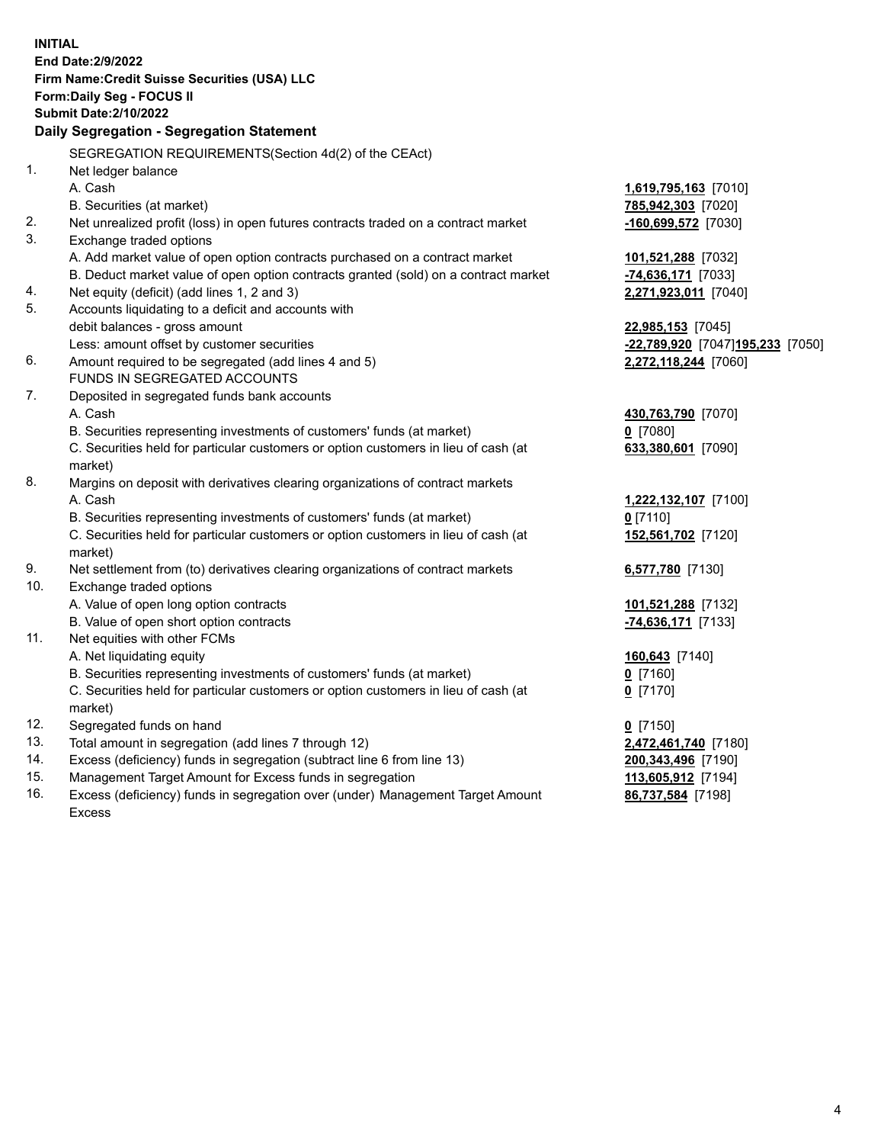| <b>INITIAL</b> |                                                                                            |                                  |  |  |  |  |
|----------------|--------------------------------------------------------------------------------------------|----------------------------------|--|--|--|--|
|                | End Date: 2/9/2022                                                                         |                                  |  |  |  |  |
|                | Firm Name: Credit Suisse Securities (USA) LLC                                              |                                  |  |  |  |  |
|                | Form: Daily Seg - FOCUS II                                                                 |                                  |  |  |  |  |
|                | <b>Submit Date: 2/10/2022</b>                                                              |                                  |  |  |  |  |
|                | Daily Segregation - Segregation Statement                                                  |                                  |  |  |  |  |
|                | SEGREGATION REQUIREMENTS(Section 4d(2) of the CEAct)                                       |                                  |  |  |  |  |
| 1.             | Net ledger balance                                                                         |                                  |  |  |  |  |
|                | A. Cash                                                                                    | 1,619,795,163 [7010]             |  |  |  |  |
|                | B. Securities (at market)                                                                  | 785,942,303 [7020]               |  |  |  |  |
| 2.             | Net unrealized profit (loss) in open futures contracts traded on a contract market         | -160,699,572 [7030]              |  |  |  |  |
| 3.             | Exchange traded options                                                                    |                                  |  |  |  |  |
|                | A. Add market value of open option contracts purchased on a contract market                | 101,521,288 [7032]               |  |  |  |  |
|                | B. Deduct market value of open option contracts granted (sold) on a contract market        | -74,636,171 [7033]               |  |  |  |  |
| 4.             | Net equity (deficit) (add lines 1, 2 and 3)                                                | 2,271,923,011 [7040]             |  |  |  |  |
| 5.             | Accounts liquidating to a deficit and accounts with                                        |                                  |  |  |  |  |
|                | debit balances - gross amount                                                              | 22,985,153 [7045]                |  |  |  |  |
|                | Less: amount offset by customer securities                                                 | -22,789,920 [7047]195,233 [7050] |  |  |  |  |
| 6.             | Amount required to be segregated (add lines 4 and 5)                                       | 2,272,118,244 [7060]             |  |  |  |  |
|                | FUNDS IN SEGREGATED ACCOUNTS                                                               |                                  |  |  |  |  |
| 7.             | Deposited in segregated funds bank accounts                                                |                                  |  |  |  |  |
|                | A. Cash                                                                                    | 430,763,790 [7070]               |  |  |  |  |
|                | B. Securities representing investments of customers' funds (at market)                     | $0$ [7080]                       |  |  |  |  |
|                | C. Securities held for particular customers or option customers in lieu of cash (at        | 633,380,601 [7090]               |  |  |  |  |
|                | market)                                                                                    |                                  |  |  |  |  |
| 8.             | Margins on deposit with derivatives clearing organizations of contract markets             |                                  |  |  |  |  |
|                | A. Cash                                                                                    | 1,222,132,107 [7100]             |  |  |  |  |
|                | B. Securities representing investments of customers' funds (at market)                     | $0$ [7110]                       |  |  |  |  |
|                | C. Securities held for particular customers or option customers in lieu of cash (at        | 152,561,702 [7120]               |  |  |  |  |
| 9.             | market)<br>Net settlement from (to) derivatives clearing organizations of contract markets |                                  |  |  |  |  |
| 10.            | Exchange traded options                                                                    | 6,577,780 [7130]                 |  |  |  |  |
|                | A. Value of open long option contracts                                                     | 101,521,288 [7132]               |  |  |  |  |
|                | B. Value of open short option contracts                                                    | -74,636,171 [7133]               |  |  |  |  |
| 11.            | Net equities with other FCMs                                                               |                                  |  |  |  |  |
|                | A. Net liquidating equity                                                                  | 160,643 [7140]                   |  |  |  |  |
|                | B. Securities representing investments of customers' funds (at market)                     | $0$ [7160]                       |  |  |  |  |
|                | C. Securities held for particular customers or option customers in lieu of cash (at        | $0$ [7170]                       |  |  |  |  |
|                | market)                                                                                    |                                  |  |  |  |  |
| 12.            | Segregated funds on hand                                                                   | $0$ [7150]                       |  |  |  |  |
| 13.            | Total amount in segregation (add lines 7 through 12)                                       | 2,472,461,740 [7180]             |  |  |  |  |
| 14.            | Excess (deficiency) funds in segregation (subtract line 6 from line 13)                    | 200,343,496 [7190]               |  |  |  |  |
| 15.            | Management Target Amount for Excess funds in segregation                                   | 113,605,912 [7194]               |  |  |  |  |
| 16.            | Excess (deficiency) funds in segregation over (under) Management Target Amount             | 86,737,584 [7198]                |  |  |  |  |
|                | <b>Excess</b>                                                                              |                                  |  |  |  |  |